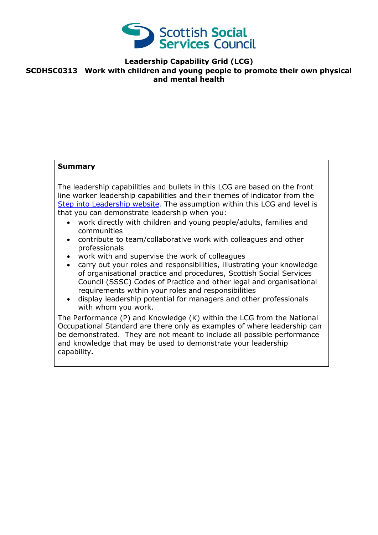

**Leadership Capability Grid (LCG)**

## **SCDHSC0313 Work with children and young people to promote their own physical and mental health**

### **Summary**

The leadership capabilities and bullets in this LCG are based on the front line worker leadership capabilities and their themes of indicator from the [Step into Leadership website.](http://www.stepintoleadership.info/) The assumption within this LCG and level is that you can demonstrate leadership when you:

- work directly with children and young people/adults, families and communities
- contribute to team/collaborative work with colleagues and other professionals
- work with and supervise the work of colleagues
- carry out your roles and responsibilities, illustrating your knowledge of organisational practice and procedures, Scottish Social Services Council (SSSC) Codes of Practice and other legal and organisational requirements within your roles and responsibilities
- display leadership potential for managers and other professionals with whom you work.

The Performance (P) and Knowledge (K) within the LCG from the National Occupational Standard are there only as examples of where leadership can be demonstrated. They are not meant to include all possible performance and knowledge that may be used to demonstrate your leadership capability**.**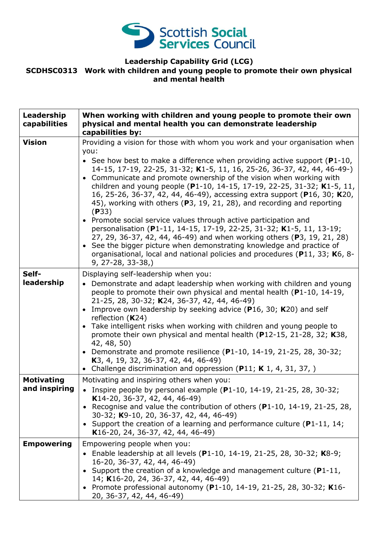

# **Leadership Capability Grid (LCG) SCDHSC0313 Work with children and young people to promote their own physical and mental health**

| Leadership<br>capabilities         | When working with children and young people to promote their own<br>physical and mental health you can demonstrate leadership<br>capabilities by:                                                                                                                                                                                                                                                                                                                                                                                                                                                                                                                                                                                                                                                                                                                                                                                                                       |
|------------------------------------|-------------------------------------------------------------------------------------------------------------------------------------------------------------------------------------------------------------------------------------------------------------------------------------------------------------------------------------------------------------------------------------------------------------------------------------------------------------------------------------------------------------------------------------------------------------------------------------------------------------------------------------------------------------------------------------------------------------------------------------------------------------------------------------------------------------------------------------------------------------------------------------------------------------------------------------------------------------------------|
| <b>Vision</b>                      | Providing a vision for those with whom you work and your organisation when<br>you:<br>• See how best to make a difference when providing active support ( $P1-10$ ,<br>14-15, 17-19, 22-25, 31-32; K1-5, 11, 16, 25-26, 36-37, 42, 44, 46-49-)<br>• Communicate and promote ownership of the vision when working with<br>children and young people (P1-10, 14-15, 17-19, 22-25, 31-32; K1-5, 11,<br>16, 25-26, 36-37, 42, 44, 46-49), accessing extra support (P16, 30; K20,<br>45), working with others (P3, 19, 21, 28), and recording and reporting<br>(P33)<br>• Promote social service values through active participation and<br>personalisation (P1-11, 14-15, 17-19, 22-25, 31-32; K1-5, 11, 13-19;<br>27, 29, 36-37, 42, 44, 46-49) and when working others (P3, 19, 21, 28)<br>• See the bigger picture when demonstrating knowledge and practice of<br>organisational, local and national policies and procedures (P11, 33; K6, 8-<br>$9, 27 - 28, 33 - 38,$ |
| Self-<br>leadership                | Displaying self-leadership when you:<br>• Demonstrate and adapt leadership when working with children and young<br>people to promote their own physical and mental health (P1-10, 14-19,<br>21-25, 28, 30-32; K24, 36-37, 42, 44, 46-49)<br>Improve own leadership by seeking advice (P16, 30; K20) and self<br>$\bullet$<br>reflection $(K24)$<br>• Take intelligent risks when working with children and young people to<br>promote their own physical and mental health (P12-15, 21-28, 32; K38,<br>42, 48, 50)<br>• Demonstrate and promote resilience (P1-10, 14-19, 21-25, 28, 30-32;<br>K <sub>3</sub> , 4, 19, 32, 36-37, 42, 44, 46-49)<br>• Challenge discrimination and oppression (P11; K 1, 4, 31, 37, )                                                                                                                                                                                                                                                   |
| <b>Motivating</b><br>and inspiring | Motivating and inspiring others when you:<br>• Inspire people by personal example $(P1-10, 14-19, 21-25, 28, 30-32;$<br>K14-20, 36-37, 42, 44, 46-49)<br>• Recognise and value the contribution of others ( $P1-10$ , 14-19, 21-25, 28,<br>30-32; K9-10, 20, 36-37, 42, 44, 46-49)<br>• Support the creation of a learning and performance culture ( $P1-11$ , 14;<br>K16-20, 24, 36-37, 42, 44, 46-49)                                                                                                                                                                                                                                                                                                                                                                                                                                                                                                                                                                 |
| <b>Empowering</b>                  | Empowering people when you:<br>• Enable leadership at all levels (P1-10, 14-19, 21-25, 28, 30-32; K8-9;<br>16-20, 36-37, 42, 44, 46-49)<br>• Support the creation of a knowledge and management culture ( $P1-11$ ,<br>14; K16-20, 24, 36-37, 42, 44, 46-49)<br>• Promote professional autonomy (P1-10, 14-19, 21-25, 28, 30-32; K16-<br>20, 36-37, 42, 44, 46-49)                                                                                                                                                                                                                                                                                                                                                                                                                                                                                                                                                                                                      |